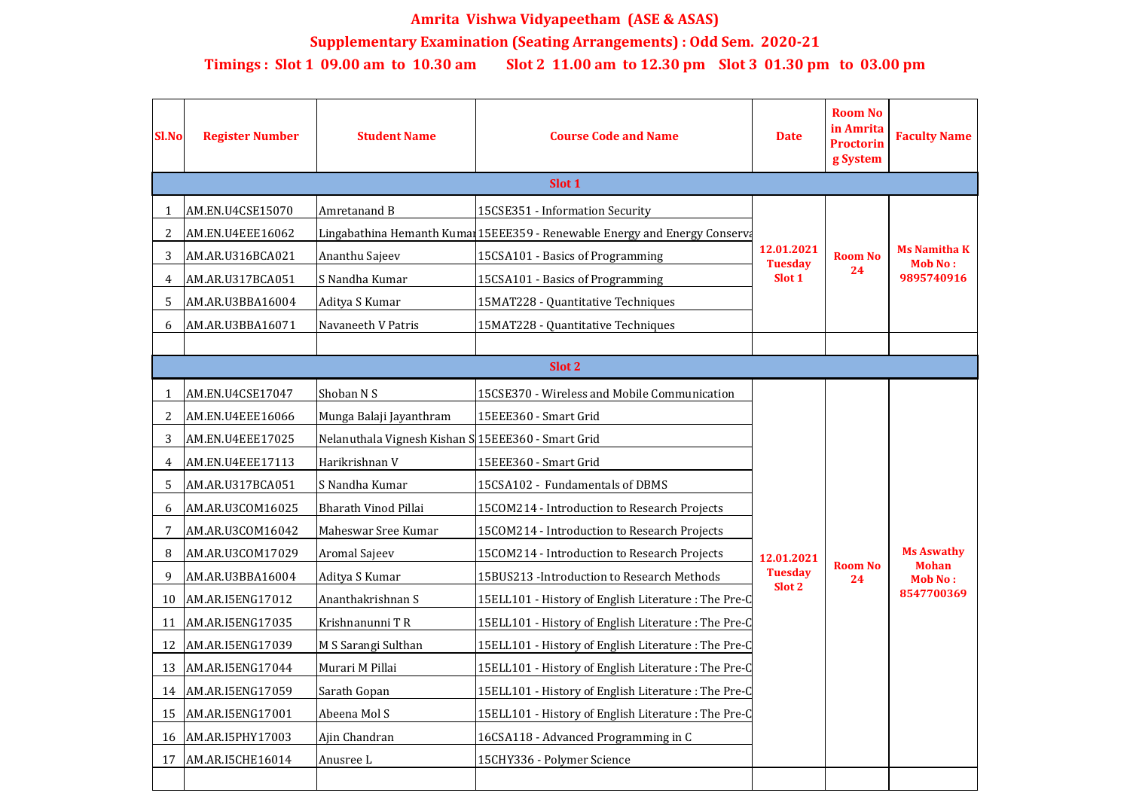| <b>Sl.No</b>   | <b>Register Number</b>  | <b>Student Name</b>                                | <b>Course Code and Name</b>                                                | <b>Date</b>                            | <b>Room No</b><br>in Amrita<br><b>Proctorin</b><br>g System | <b>Faculty Name</b>                                               |  |  |  |  |
|----------------|-------------------------|----------------------------------------------------|----------------------------------------------------------------------------|----------------------------------------|-------------------------------------------------------------|-------------------------------------------------------------------|--|--|--|--|
| Slot 1         |                         |                                                    |                                                                            |                                        |                                                             |                                                                   |  |  |  |  |
|                | <b>AM.EN.U4CSE15070</b> | Amretanand B                                       | 15CSE351 - Information Security                                            | 12.01.2021<br><b>Tuesday</b><br>Slot 1 | <b>Room No</b><br>24                                        | <b>Ms Namitha K</b><br><b>Mob No:</b><br>9895740916               |  |  |  |  |
|                | AM.EN.U4EEE16062        |                                                    | Lingabathina Hemanth Kumar 15EEE359 - Renewable Energy and Energy Conserva |                                        |                                                             |                                                                   |  |  |  |  |
| 3              | AM.AR.U316BCA021        | Ananthu Sajeev                                     | 15CSA101 - Basics of Programming                                           |                                        |                                                             |                                                                   |  |  |  |  |
| 4              | AM.AR.U317BCA051        | S Nandha Kumar                                     | 15CSA101 - Basics of Programming                                           |                                        |                                                             |                                                                   |  |  |  |  |
| 5              | AM.AR.U3BBA16004        | Aditya S Kumar                                     | 15MAT228 - Quantitative Techniques                                         |                                        |                                                             |                                                                   |  |  |  |  |
| 6              | AM.AR.U3BBA16071        | Navaneeth V Patris                                 | 15MAT228 - Quantitative Techniques                                         |                                        |                                                             |                                                                   |  |  |  |  |
|                |                         |                                                    |                                                                            |                                        |                                                             |                                                                   |  |  |  |  |
| Slot 2         |                         |                                                    |                                                                            |                                        |                                                             |                                                                   |  |  |  |  |
|                | AM.EN.U4CSE17047        | Shoban N S                                         | 15CSE370 - Wireless and Mobile Communication                               |                                        | <b>Room No</b><br>24                                        | <b>Ms Aswathy</b><br><b>Mohan</b><br><b>Mob No:</b><br>8547700369 |  |  |  |  |
| $\overline{2}$ | AM.EN.U4EEE16066        | Munga Balaji Jayanthram                            | 15EEE360 - Smart Grid                                                      | 12.01.2021<br><b>Tuesday</b><br>Slot 2 |                                                             |                                                                   |  |  |  |  |
| 3              | <b>AM.EN.U4EEE17025</b> | Nelanuthala Vignesh Kishan S 15EEE360 - Smart Grid |                                                                            |                                        |                                                             |                                                                   |  |  |  |  |
| 4              | AM.EN.U4EEE17113        | Harikrishnan V                                     | 15EEE360 - Smart Grid                                                      |                                        |                                                             |                                                                   |  |  |  |  |
| 5              | AM.AR.U317BCA051        | S Nandha Kumar                                     | 15CSA102 - Fundamentals of DBMS                                            |                                        |                                                             |                                                                   |  |  |  |  |
| 6              | AM.AR.U3COM16025        | <b>Bharath Vinod Pillai</b>                        | 15COM214 - Introduction to Research Projects                               |                                        |                                                             |                                                                   |  |  |  |  |
|                | AM.AR.U3COM16042        | Maheswar Sree Kumar                                | 15COM214 - Introduction to Research Projects                               |                                        |                                                             |                                                                   |  |  |  |  |
| 8              | AM.AR.U3COM17029        | <b>Aromal Sajeev</b>                               | 15COM214 - Introduction to Research Projects                               |                                        |                                                             |                                                                   |  |  |  |  |
| 9              | AM.AR.U3BBA16004        | Aditya S Kumar                                     | 15BUS213 - Introduction to Research Methods                                |                                        |                                                             |                                                                   |  |  |  |  |
| 10             | AM.AR.I5ENG17012        | Ananthakrishnan S                                  | 15ELL101 - History of English Literature: The Pre-Q                        |                                        |                                                             |                                                                   |  |  |  |  |
| 11             | AM.AR.I5ENG17035        | Krishnanunni TR                                    | 15ELL101 - History of English Literature: The Pre-Q                        |                                        |                                                             |                                                                   |  |  |  |  |
| 12             | AM.AR.I5ENG17039        | M S Sarangi Sulthan                                | 15ELL101 - History of English Literature: The Pre-Q                        |                                        |                                                             |                                                                   |  |  |  |  |
| 13             | AM.AR.I5ENG17044        | Murari M Pillai                                    | 15ELL101 - History of English Literature: The Pre-Q                        |                                        |                                                             |                                                                   |  |  |  |  |
| 14             | AM.AR.I5ENG17059        | Sarath Gopan                                       | 15ELL101 - History of English Literature: The Pre-Q                        |                                        |                                                             |                                                                   |  |  |  |  |
| 15             | AM.AR.I5ENG17001        | Abeena Mol S                                       | 15ELL101 - History of English Literature: The Pre-Q                        |                                        |                                                             |                                                                   |  |  |  |  |
| 16             | AM.AR.I5PHY17003        | Ajin Chandran                                      | 16CSA118 - Advanced Programming in C                                       |                                        |                                                             |                                                                   |  |  |  |  |
| 17             | AM.AR.I5CHE16014        | Anusree L                                          | 15CHY336 - Polymer Science                                                 |                                        |                                                             |                                                                   |  |  |  |  |
|                |                         |                                                    |                                                                            |                                        |                                                             |                                                                   |  |  |  |  |

## **Amrita Vishwa Vidyapeetham (ASE & ASAS)**

**Supplementary Examination (Seating Arrangements) : Odd Sem. 2020-21**

## **Timings : Slot 1 09.00 am to 10.30 am Slot 2 11.00 am to 12.30 pm Slot 3 01.30 pm to 03.00 pm**